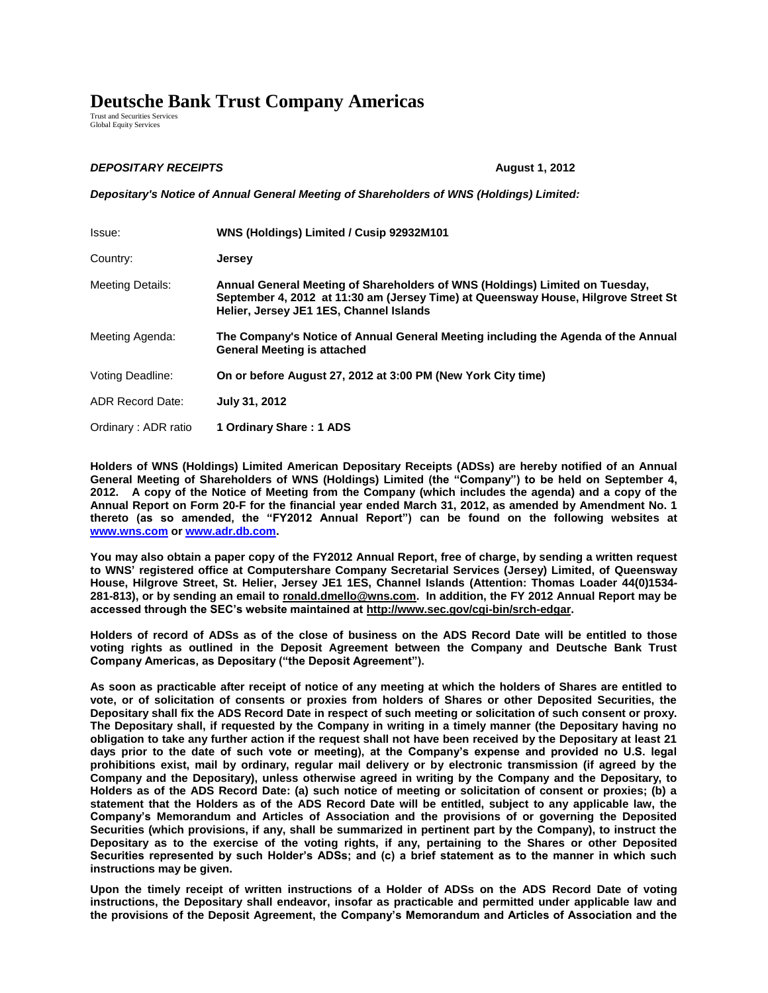## **Deutsche Bank Trust Company Americas**

Trust and Securities Services Global Equity Services

## *DEPOSITARY RECEIPTS* **August 1, 2012**

*Depositary's Notice of Annual General Meeting of Shareholders of WNS (Holdings) Limited:*

| Issue:                  | WNS (Holdings) Limited / Cusip 92932M101                                                                                                                                                                      |
|-------------------------|---------------------------------------------------------------------------------------------------------------------------------------------------------------------------------------------------------------|
| Country:                | <b>Jersey</b>                                                                                                                                                                                                 |
| Meeting Details:        | Annual General Meeting of Shareholders of WNS (Holdings) Limited on Tuesday,<br>September 4, 2012 at 11:30 am (Jersey Time) at Queensway House, Hilgrove Street St<br>Helier, Jersey JE1 1ES, Channel Islands |
| Meeting Agenda:         | The Company's Notice of Annual General Meeting including the Agenda of the Annual<br><b>General Meeting is attached</b>                                                                                       |
| Voting Deadline:        | On or before August 27, 2012 at 3:00 PM (New York City time)                                                                                                                                                  |
| <b>ADR Record Date:</b> | July 31, 2012                                                                                                                                                                                                 |
| Ordinary: ADR ratio     | 1 Ordinary Share: 1 ADS                                                                                                                                                                                       |

**Holders of WNS (Holdings) Limited American Depositary Receipts (ADSs) are hereby notified of an Annual General Meeting of Shareholders of WNS (Holdings) Limited (the "Company") to be held on September 4, 2012. A copy of the Notice of Meeting from the Company (which includes the agenda) and a copy of the Annual Report on Form 20-F for the financial year ended March 31, 2012, as amended by Amendment No. 1 thereto (as so amended, the "FY2012 Annual Report") can be found on the following websites at [www.wns.com](http://www.wnsgs.com/) or [www.adr.db.com.](http://www.adr.db.com/)** 

**You may also obtain a paper copy of the FY2012 Annual Report, free of charge, by sending a written request to WNS' registered office at Computershare Company Secretarial Services (Jersey) Limited, of Queensway House, Hilgrove Street, St. Helier, Jersey JE1 1ES, Channel Islands (Attention: Thomas Loader 44(0)1534- 281-813), or by sending an email to ronald.dmello@wns.com. In addition, the FY 2012 Annual Report may be accessed through the SEC's website maintained at http://www.sec.gov/cgi-bin/srch-edgar.** 

**Holders of record of ADSs as of the close of business on the ADS Record Date will be entitled to those voting rights as outlined in the Deposit Agreement between the Company and Deutsche Bank Trust Company Americas, as Depositary ("the Deposit Agreement").** 

**As soon as practicable after receipt of notice of any meeting at which the holders of Shares are entitled to vote, or of solicitation of consents or proxies from holders of Shares or other Deposited Securities, the Depositary shall fix the ADS Record Date in respect of such meeting or solicitation of such consent or proxy. The Depositary shall, if requested by the Company in writing in a timely manner (the Depositary having no obligation to take any further action if the request shall not have been received by the Depositary at least 21 days prior to the date of such vote or meeting), at the Company's expense and provided no U.S. legal prohibitions exist, mail by ordinary, regular mail delivery or by electronic transmission (if agreed by the Company and the Depositary), unless otherwise agreed in writing by the Company and the Depositary, to Holders as of the ADS Record Date: (a) such notice of meeting or solicitation of consent or proxies; (b) a statement that the Holders as of the ADS Record Date will be entitled, subject to any applicable law, the Company's Memorandum and Articles of Association and the provisions of or governing the Deposited Securities (which provisions, if any, shall be summarized in pertinent part by the Company), to instruct the Depositary as to the exercise of the voting rights, if any, pertaining to the Shares or other Deposited Securities represented by such Holder's ADSs; and (c) a brief statement as to the manner in which such instructions may be given.** 

**Upon the timely receipt of written instructions of a Holder of ADSs on the ADS Record Date of voting instructions, the Depositary shall endeavor, insofar as practicable and permitted under applicable law and the provisions of the Deposit Agreement, the Company's Memorandum and Articles of Association and the**